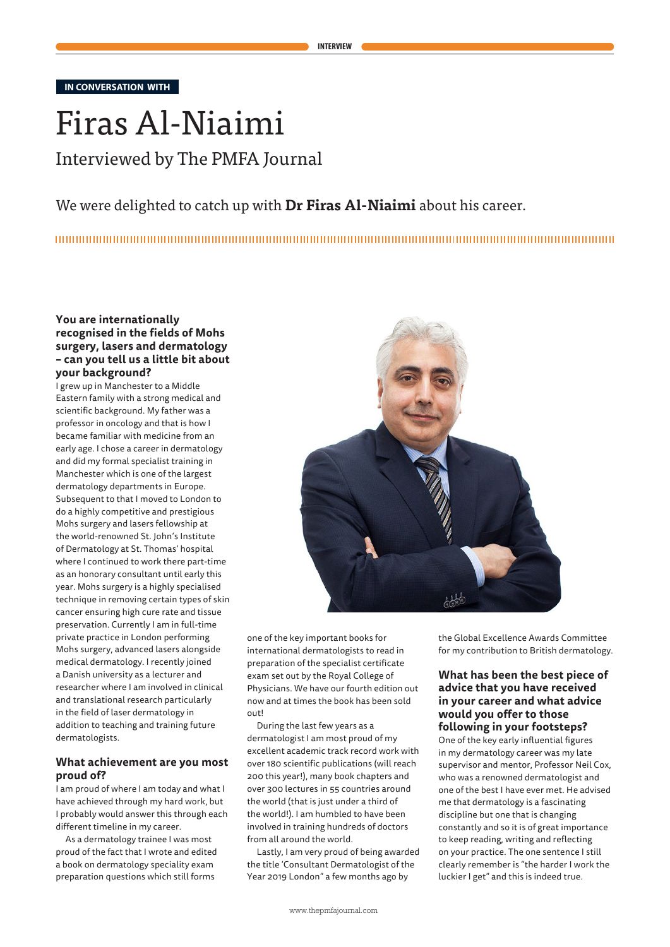**IN CONVERSATION WITH**

# Firas Al-Niaimi Interviewed by The PMFA Journal

# We were delighted to catch up with **Dr Firas Al-Niaimi** about his career.

# **You are internationally recognised in the fields of Mohs surgery, lasers and dermatology – can you tell us a little bit about your background?**

I grew up in Manchester to a Middle Eastern family with a strong medical and scientific background. My father was a professor in oncology and that is how I became familiar with medicine from an early age. I chose a career in dermatology and did my formal specialist training in Manchester which is one of the largest dermatology departments in Europe. Subsequent to that I moved to London to do a highly competitive and prestigious Mohs surgery and lasers fellowship at the world-renowned St. John's Institute of Dermatology at St. Thomas' hospital where I continued to work there part-time as an honorary consultant until early this year. Mohs surgery is a highly specialised technique in removing certain types of skin cancer ensuring high cure rate and tissue preservation. Currently I am in full-time private practice in London performing Mohs surgery, advanced lasers alongside medical dermatology. I recently joined a Danish university as a lecturer and researcher where I am involved in clinical and translational research particularly in the field of laser dermatology in addition to teaching and training future dermatologists.

#### **What achievement are you most proud of?**

I am proud of where I am today and what I have achieved through my hard work, but I probably would answer this through each different timeline in my career.

As a dermatology trainee I was most proud of the fact that I wrote and edited a book on dermatology speciality exam preparation questions which still forms



one of the key important books for international dermatologists to read in preparation of the specialist certificate exam set out by the Royal College of Physicians. We have our fourth edition out now and at times the book has been sold out!

During the last few years as a dermatologist I am most proud of my excellent academic track record work with over 180 scientific publications (will reach 200 this year!), many book chapters and over 300 lectures in 55 countries around the world (that is just under a third of the world!). I am humbled to have been involved in training hundreds of doctors from all around the world.

Lastly, I am very proud of being awarded the title 'Consultant Dermatologist of the Year 2019 London" a few months ago by

the Global Excellence Awards Committee for my contribution to British dermatology.

## **What has been the best piece of advice that you have received in your career and what advice would you offer to those following in your footsteps?**

One of the key early influential figures in my dermatology career was my late supervisor and mentor, Professor Neil Cox, who was a renowned dermatologist and one of the best I have ever met. He advised me that dermatology is a fascinating discipline but one that is changing constantly and so it is of great importance to keep reading, writing and reflecting on your practice. The one sentence I still clearly remember is "the harder I work the luckier I get" and this is indeed true.